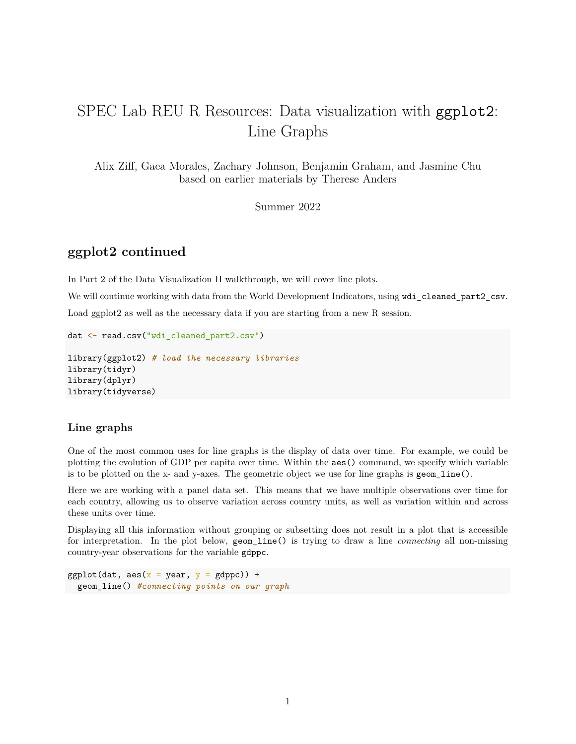# SPEC Lab REU R Resources: Data visualization with ggplot2: Line Graphs

Alix Ziff, Gaea Morales, Zachary Johnson, Benjamin Graham, and Jasmine Chu based on earlier materials by Therese Anders

Summer 2022

## **ggplot2 continued**

In Part 2 of the Data Visualization II walkthrough, we will cover line plots.

We will continue working with data from the World Development Indicators, using wdi\_cleaned\_part2\_csv.

Load ggplot2 as well as the necessary data if you are starting from a new R session.

```
dat <- read.csv("wdi_cleaned_part2.csv")
```

```
library(ggplot2) # load the necessary libraries
library(tidyr)
library(dplyr)
library(tidyverse)
```
#### **Line graphs**

One of the most common uses for line graphs is the display of data over time. For example, we could be plotting the evolution of GDP per capita over time. Within the aes() command, we specify which variable is to be plotted on the x- and y-axes. The geometric object we use for line graphs is geom\_line().

Here we are working with a panel data set. This means that we have multiple observations over time for each country, allowing us to observe variation across country units, as well as variation within and across these units over time.

Displaying all this information without grouping or subsetting does not result in a plot that is accessible for interpretation. In the plot below, geom\_line() is trying to draw a line *connecting* all non-missing country-year observations for the variable gdppc.

```
ggplot(dat, \text{aes}(x = \text{year}, y = \text{gdppc})) +
  geom_line() #connecting points on our graph
```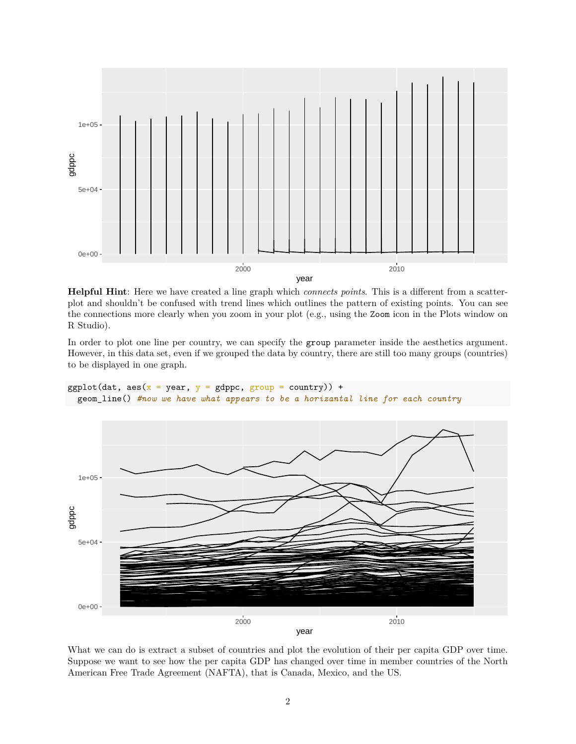

**Helpful Hint**: Here we have created a line graph which *connects points*. This is a different from a scatterplot and shouldn't be confused with trend lines which outlines the pattern of existing points. You can see the connections more clearly when you zoom in your plot (e.g., using the Zoom icon in the Plots window on R Studio).

In order to plot one line per country, we can specify the group parameter inside the aesthetics argument. However, in this data set, even if we grouped the data by country, there are still too many groups (countries) to be displayed in one graph.

ggplot(dat,  $\text{aes}(x = \text{year}, y = \text{gdppc}, \text{group} = \text{country})$ ) + geom\_line() *#now we have what appears to be a horizantal line for each country*



What we can do is extract a subset of countries and plot the evolution of their per capita GDP over time. Suppose we want to see how the per capita GDP has changed over time in member countries of the North American Free Trade Agreement (NAFTA), that is Canada, Mexico, and the US.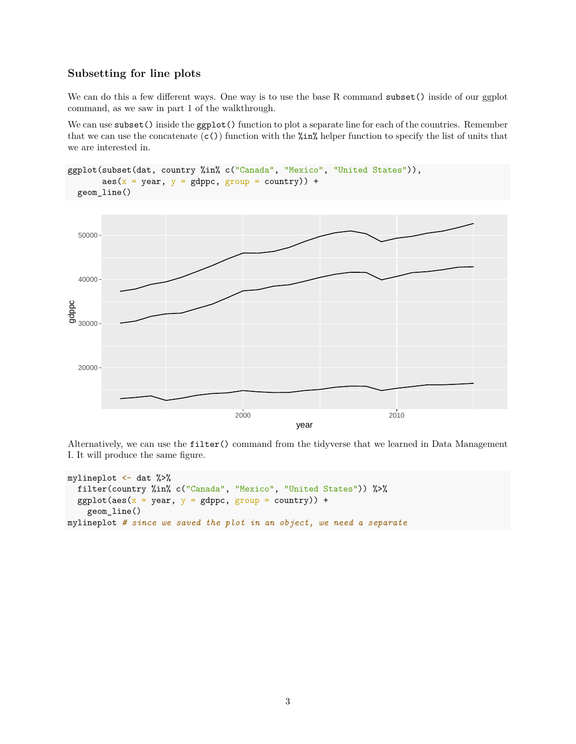### **Subsetting for line plots**

We can do this a few different ways. One way is to use the base R command subset () inside of our ggplot command, as we saw in part 1 of the walkthrough.

We can use subset() inside the ggplot() function to plot a separate line for each of the countries. Remember that we can use the concatenate  $(c)$  function with the  $\frac{\pi}{n}$  helper function to specify the list of units that we are interested in.

```
ggplot(subset(dat, country %in% c("Canada", "Mexico", "United States")),
        \text{aes}(x = \text{year}, y = \text{gdppc}, \text{group} = \text{country}) +
  geom_line()
```


Alternatively, we can use the filter() command from the tidyverse that we learned in Data Management I. It will produce the same figure.

```
mylineplot <- dat %>%
  filter(country %in% c("Canada", "Mexico", "United States")) %>%
  ggplot(aes(x = year, y = gdppc, group = country)) +geom_line()
mylineplot # since we saved the plot in an object, we need a separate
```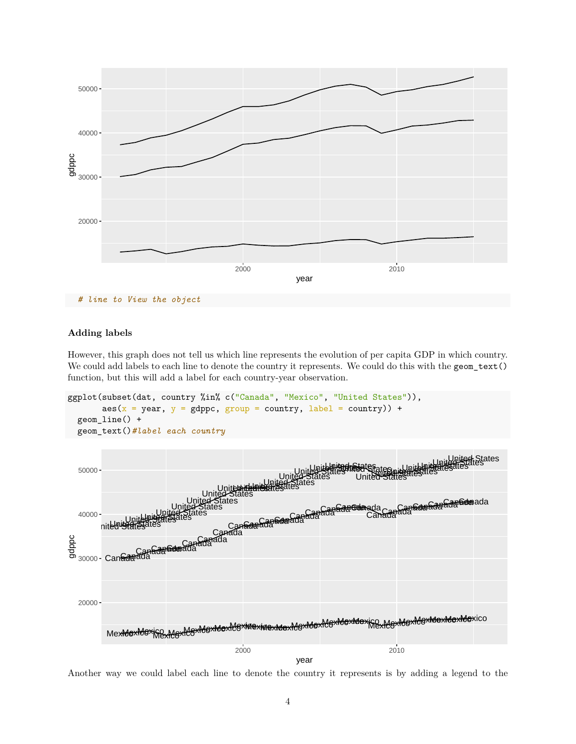

*# line to View the object*

#### **Adding labels**

However, this graph does not tell us which line represents the evolution of per capita GDP in which country. We could add labels to each line to denote the country it represents. We could do this with the geom\_text() function, but this will add a label for each country-year observation.

```
ggplot(subset(dat, country %in% c("Canada", "Mexico", "United States")),
       \text{aes}(x = year, y = gdppc, group = country, label = country) +
 geom_line() +
 geom_text()#label each country
```


Another way we could label each line to denote the country it represents is by adding a legend to the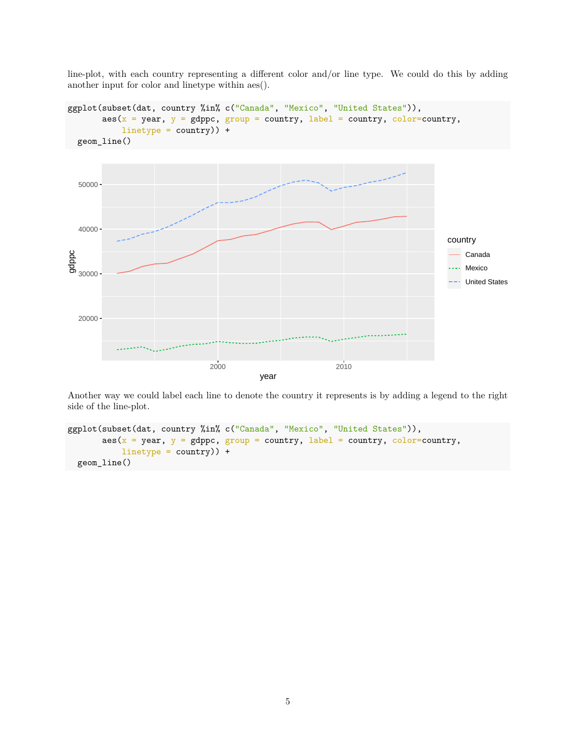line-plot, with each country representing a different color and/or line type. We could do this by adding another input for color and linetype within aes().



Another way we could label each line to denote the country it represents is by adding a legend to the right side of the line-plot.

```
ggplot(subset(dat, country %in% c("Canada", "Mexico", "United States")),
         \text{aes}(x = \text{year}, y = \text{gdppe}, \text{group} = \text{country}, \text{label} = \text{country}, \text{color}= \text{country},linetype = country)) +
  geom_line()
```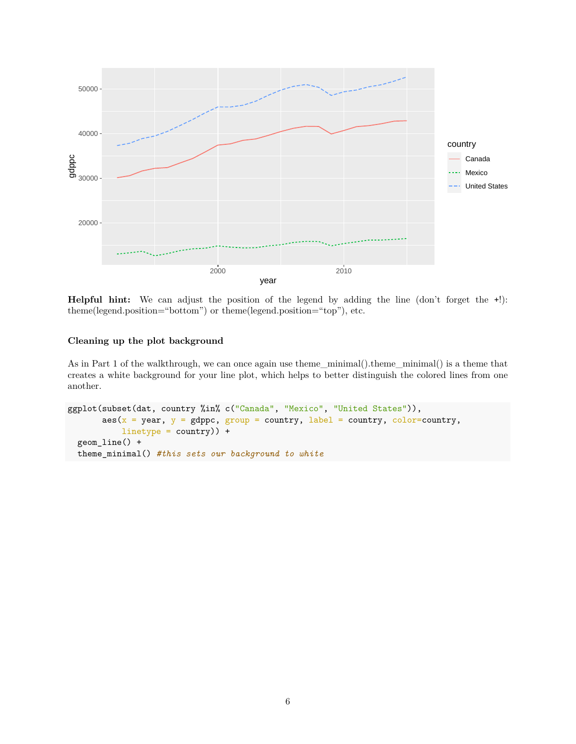

**Helpful hint:** We can adjust the position of the legend by adding the line (don't forget the +!): theme(legend.position="bottom") or theme(legend.position="top"), etc.

#### **Cleaning up the plot background**

As in Part 1 of the walkthrough, we can once again use theme\_minimal().theme\_minimal() is a theme that creates a white background for your line plot, which helps to better distinguish the colored lines from one another.

```
ggplot(subset(dat, country %in% c("Canada", "Mexico", "United States")),
        \text{aes}(x = \text{year}, y = \text{gdppc}, \text{group} = \text{country}, \text{label} = \text{country}, \text{color}= \text{country},linetype = country)) +
  geom_line() +
  theme_minimal() #this sets our background to white
```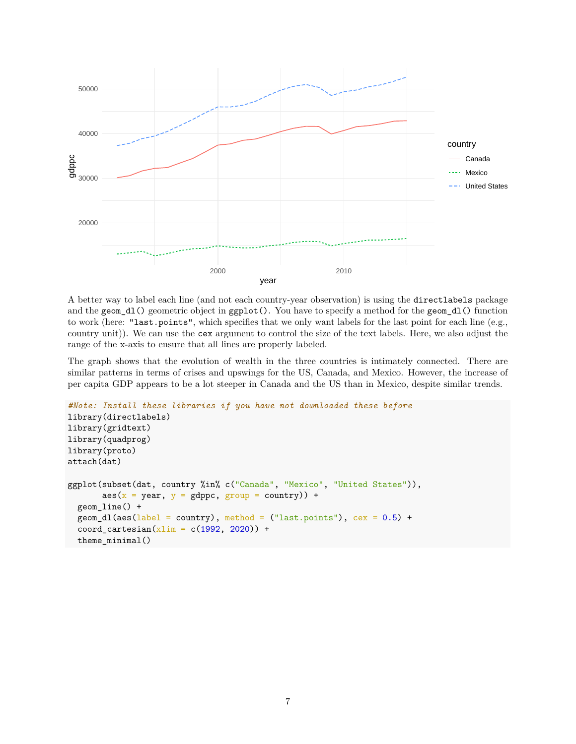

A better way to label each line (and not each country-year observation) is using the directlabels package and the geom\_dl() geometric object in ggplot(). You have to specify a method for the geom\_dl() function to work (here: "last.points", which specifies that we only want labels for the last point for each line (e.g., country unit)). We can use the cex argument to control the size of the text labels. Here, we also adjust the range of the x-axis to ensure that all lines are properly labeled.

The graph shows that the evolution of wealth in the three countries is intimately connected. There are similar patterns in terms of crises and upswings for the US, Canada, and Mexico. However, the increase of per capita GDP appears to be a lot steeper in Canada and the US than in Mexico, despite similar trends.

```
#Note: Install these libraries if you have not downloaded these before
library(directlabels)
library(gridtext)
library(quadprog)
library(proto)
attach(dat)
ggplot(subset(dat, country %in% c("Canada", "Mexico", "United States")),
       \text{aes}(x = year, y = gdppc, group = country) +
  geom_line() +
  geom_d1(aes(label = country), method = ("last.points"), cex = 0.5) +coord_cartesian(xlim = c(1992, 2020)) +theme minimal()
```